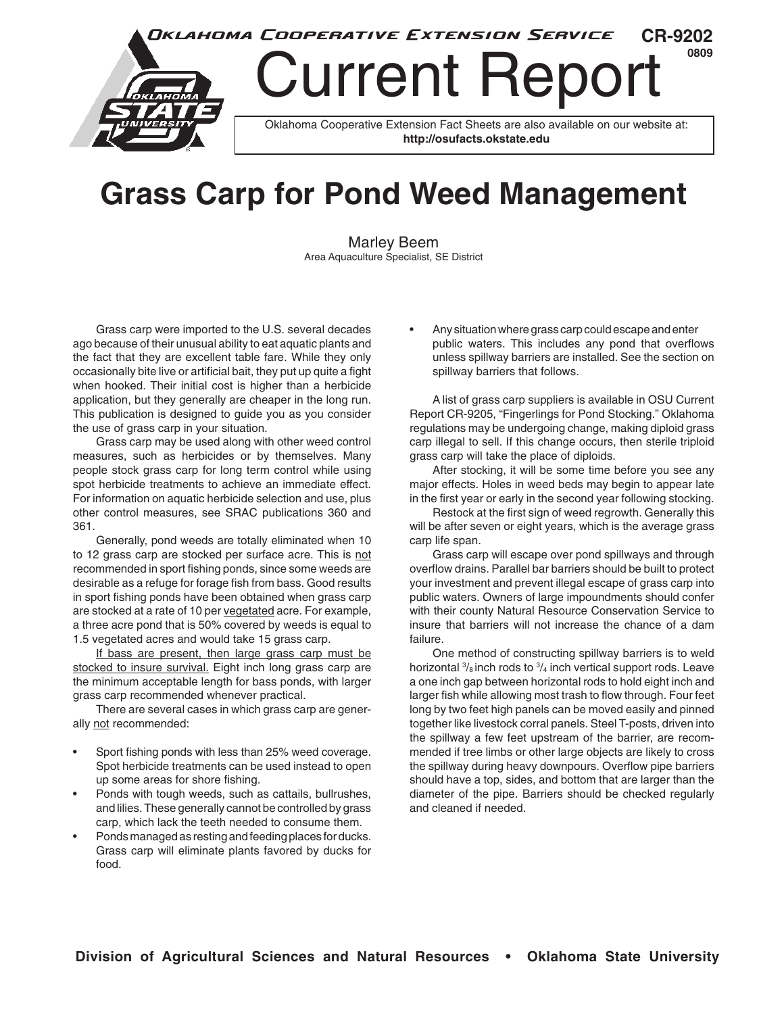

## **Grass Carp for Pond Weed Management**

Marley Beem Area Aquaculture Specialist, SE District

Grass carp were imported to the U.S. several decades ago because of their unusual ability to eat aquatic plants and the fact that they are excellent table fare. While they only occasionally bite live or artificial bait, they put up quite a fight when hooked. Their initial cost is higher than a herbicide application, but they generally are cheaper in the long run. This publication is designed to guide you as you consider the use of grass carp in your situation.

Grass carp may be used along with other weed control measures, such as herbicides or by themselves. Many people stock grass carp for long term control while using spot herbicide treatments to achieve an immediate effect. For information on aquatic herbicide selection and use, plus other control measures, see SRAC publications 360 and 361.

Generally, pond weeds are totally eliminated when 10 to 12 grass carp are stocked per surface acre. This is not recommended in sport fishing ponds, since some weeds are desirable as a refuge for forage fish from bass. Good results in sport fishing ponds have been obtained when grass carp are stocked at a rate of 10 per vegetated acre. For example, a three acre pond that is 50% covered by weeds is equal to 1.5 vegetated acres and would take 15 grass carp.

If bass are present, then large grass carp must be stocked to insure survival. Eight inch long grass carp are the minimum acceptable length for bass ponds, with larger grass carp recommended whenever practical.

There are several cases in which grass carp are generally not recommended:

- Sport fishing ponds with less than 25% weed coverage. Spot herbicide treatments can be used instead to open up some areas for shore fishing.
- Ponds with tough weeds, such as cattails, bullrushes, and lilies. These generally cannot be controlled by grass carp, which lack the teeth needed to consume them.
- Ponds managed as resting and feeding places for ducks. Grass carp will eliminate plants favored by ducks for food.

• Any situation where grass carp could escape and enter public waters. This includes any pond that overflows unless spillway barriers are installed. See the section on spillway barriers that follows.

A list of grass carp suppliers is available in OSU Current Report CR-9205, "Fingerlings for Pond Stocking." Oklahoma regulations may be undergoing change, making diploid grass carp illegal to sell. If this change occurs, then sterile triploid grass carp will take the place of diploids.

After stocking, it will be some time before you see any major effects. Holes in weed beds may begin to appear late in the first year or early in the second year following stocking.

Restock at the first sign of weed regrowth. Generally this will be after seven or eight years, which is the average grass carp life span.

Grass carp will escape over pond spillways and through overflow drains. Parallel bar barriers should be built to protect your investment and prevent illegal escape of grass carp into public waters. Owners of large impoundments should confer with their county Natural Resource Conservation Service to insure that barriers will not increase the chance of a dam failure.

One method of constructing spillway barriers is to weld horizontal  $\frac{3}{6}$  inch rods to  $\frac{3}{4}$  inch vertical support rods. Leave a one inch gap between horizontal rods to hold eight inch and larger fish while allowing most trash to flow through. Four feet long by two feet high panels can be moved easily and pinned together like livestock corral panels. Steel T-posts, driven into the spillway a few feet upstream of the barrier, are recommended if tree limbs or other large objects are likely to cross the spillway during heavy downpours. Overflow pipe barriers should have a top, sides, and bottom that are larger than the diameter of the pipe. Barriers should be checked regularly and cleaned if needed.